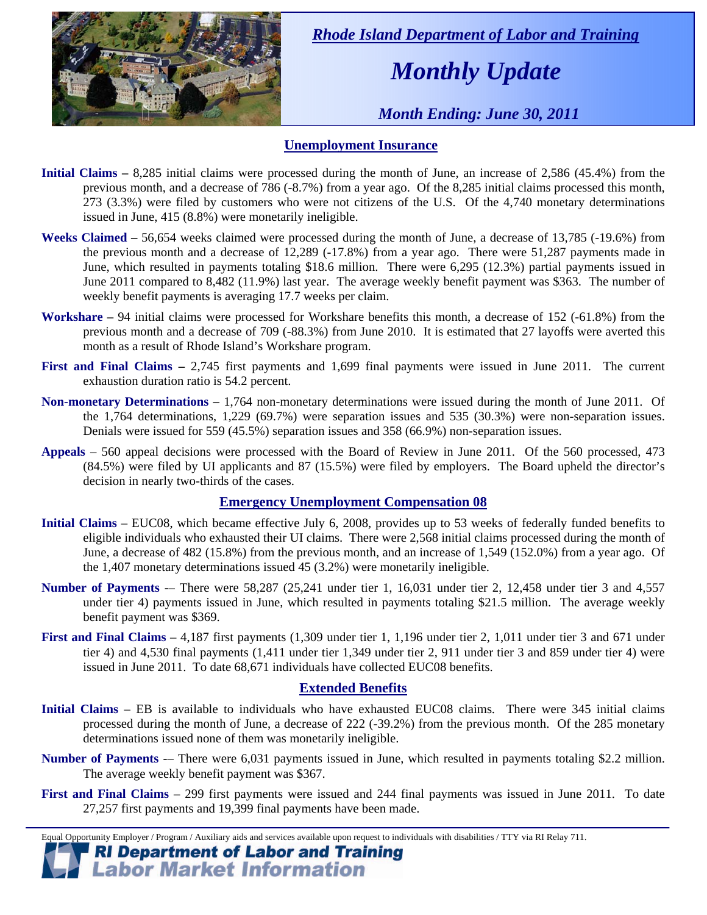

 *Rhode Island Department of Labor and Training* 

# *Monthly Update*

 *Month Ending: June 30, 2011* 

## **Unemployment Insurance**

- **Initial Claims** 8,285 initial claims were processed during the month of June, an increase of 2,586 (45.4%) from the previous month, and a decrease of 786 (-8.7%) from a year ago. Of the 8,285 initial claims processed this month, 273 (3.3%) were filed by customers who were not citizens of the U.S. Of the 4,740 monetary determinations issued in June, 415 (8.8%) were monetarily ineligible.
- **Weeks Claimed** 56,654 weeks claimed were processed during the month of June, a decrease of 13,785 (-19.6%) from the previous month and a decrease of 12,289 (-17.8%) from a year ago. There were 51,287 payments made in June, which resulted in payments totaling \$18.6 million. There were 6,295 (12.3%) partial payments issued in June 2011 compared to 8,482 (11.9%) last year. The average weekly benefit payment was \$363. The number of weekly benefit payments is averaging 17.7 weeks per claim.
- **Workshare –** 94 initial claims were processed for Workshare benefits this month, a decrease of 152 (-61.8%) from the previous month and a decrease of 709 (-88.3%) from June 2010. It is estimated that 27 layoffs were averted this month as a result of Rhode Island's Workshare program.
- **First and Final Claims –** 2,745 first payments and 1,699 final payments were issued in June 2011. The current exhaustion duration ratio is 54.2 percent.
- **Non-monetary Determinations –** 1,764 non-monetary determinations were issued during the month of June 2011. Of the 1,764 determinations, 1,229 (69.7%) were separation issues and 535 (30.3%) were non-separation issues. Denials were issued for 559 (45.5%) separation issues and 358 (66.9%) non-separation issues.
- **Appeals** 560 appeal decisions were processed with the Board of Review in June 2011. Of the 560 processed, 473 (84.5%) were filed by UI applicants and 87 (15.5%) were filed by employers. The Board upheld the director's decision in nearly two-thirds of the cases.

#### **Emergency Unemployment Compensation 08**

- **Initial Claims**  EUC08, which became effective July 6, 2008, provides up to 53 weeks of federally funded benefits to eligible individuals who exhausted their UI claims. There were 2,568 initial claims processed during the month of June, a decrease of 482 (15.8%) from the previous month, and an increase of 1,549 (152.0%) from a year ago. Of the 1,407 monetary determinations issued 45 (3.2%) were monetarily ineligible.
- **Number of Payments** -– There were 58,287 (25,241 under tier 1, 16,031 under tier 2, 12,458 under tier 3 and 4,557 under tier 4) payments issued in June, which resulted in payments totaling \$21.5 million. The average weekly benefit payment was \$369.
- **First and Final Claims**  4,187 first payments (1,309 under tier 1, 1,196 under tier 2, 1,011 under tier 3 and 671 under tier 4) and 4,530 final payments (1,411 under tier 1,349 under tier 2, 911 under tier 3 and 859 under tier 4) were issued in June 2011. To date 68,671 individuals have collected EUC08 benefits.

#### **Extended Benefits**

- **Initial Claims**  EB is available to individuals who have exhausted EUC08 claims. There were 345 initial claims processed during the month of June, a decrease of 222 (-39.2%) from the previous month. Of the 285 monetary determinations issued none of them was monetarily ineligible.
- **Number of Payments** There were 6,031 payments issued in June, which resulted in payments totaling \$2.2 million. The average weekly benefit payment was \$367.
- **First and Final Claims**  299 first payments were issued and 244 final payments was issued in June 2011. To date 27,257 first payments and 19,399 final payments have been made.

Equal Opportunity Employer / Program / Auxiliary aids and services available upon request to individuals with disabilities / TTY via RI Relay 711. **RI Department of Labor and Training** 

# **Labor Market Information**